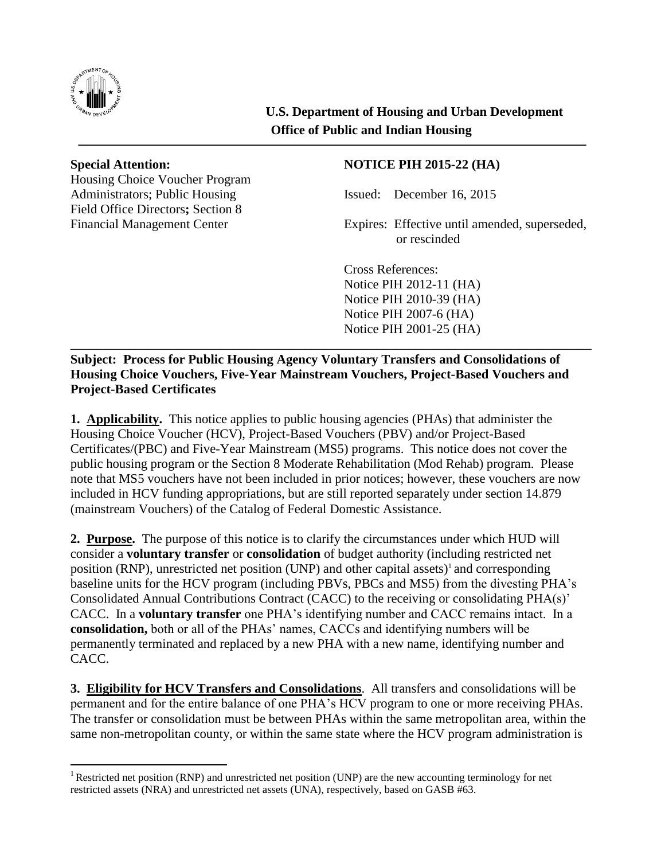

 $\overline{a}$ 

**U.S. Department of Housing and Urban Development Office of Public and Indian Housing**

Housing Choice Voucher Program Administrators: Public Housing Tessued: December 16, 2015 Field Office Directors**;** Section 8

## **Special Attention: NOTICE PIH 2015-22 (HA)**

Financial Management Center Expires: Effective until amended, superseded, or rescinded

Cross References: Notice PIH 2012-11 (HA) Notice PIH 2010-39 (HA) Notice PIH 2007-6 (HA) Notice PIH 2001-25 (HA) \_\_\_\_\_\_\_\_\_\_\_\_\_\_\_\_\_\_\_\_\_\_\_\_\_\_\_\_\_\_\_\_\_\_\_\_\_\_\_\_\_\_\_\_\_\_\_\_\_\_\_\_\_\_\_\_\_\_\_\_\_\_\_\_\_\_\_\_\_\_\_\_\_\_\_\_\_\_\_\_

**Subject: Process for Public Housing Agency Voluntary Transfers and Consolidations of Housing Choice Vouchers, Five-Year Mainstream Vouchers, Project-Based Vouchers and Project-Based Certificates**

**1. Applicability.** This notice applies to public housing agencies (PHAs) that administer the Housing Choice Voucher (HCV), Project-Based Vouchers (PBV) and/or Project-Based Certificates/(PBC) and Five-Year Mainstream (MS5) programs. This notice does not cover the public housing program or the Section 8 Moderate Rehabilitation (Mod Rehab) program. Please note that MS5 vouchers have not been included in prior notices; however, these vouchers are now included in HCV funding appropriations, but are still reported separately under section 14.879 (mainstream Vouchers) of the Catalog of Federal Domestic Assistance.

**2. Purpose.** The purpose of this notice is to clarify the circumstances under which HUD will consider a **voluntary transfer** or **consolidation** of budget authority (including restricted net position (RNP), unrestricted net position (UNP) and other capital assets)<sup>1</sup> and corresponding baseline units for the HCV program (including PBVs, PBCs and MS5) from the divesting PHA's Consolidated Annual Contributions Contract (CACC) to the receiving or consolidating PHA(s)' CACC. In a **voluntary transfer** one PHA's identifying number and CACC remains intact. In a **consolidation,** both or all of the PHAs' names, CACCs and identifying numbers will be permanently terminated and replaced by a new PHA with a new name, identifying number and CACC.

**3. Eligibility for HCV Transfers and Consolidations**. All transfers and consolidations will be permanent and for the entire balance of one PHA's HCV program to one or more receiving PHAs. The transfer or consolidation must be between PHAs within the same metropolitan area, within the same non-metropolitan county, or within the same state where the HCV program administration is

<sup>&</sup>lt;sup>1</sup> Restricted net position (RNP) and unrestricted net position (UNP) are the new accounting terminology for net restricted assets (NRA) and unrestricted net assets (UNA), respectively, based on GASB #63.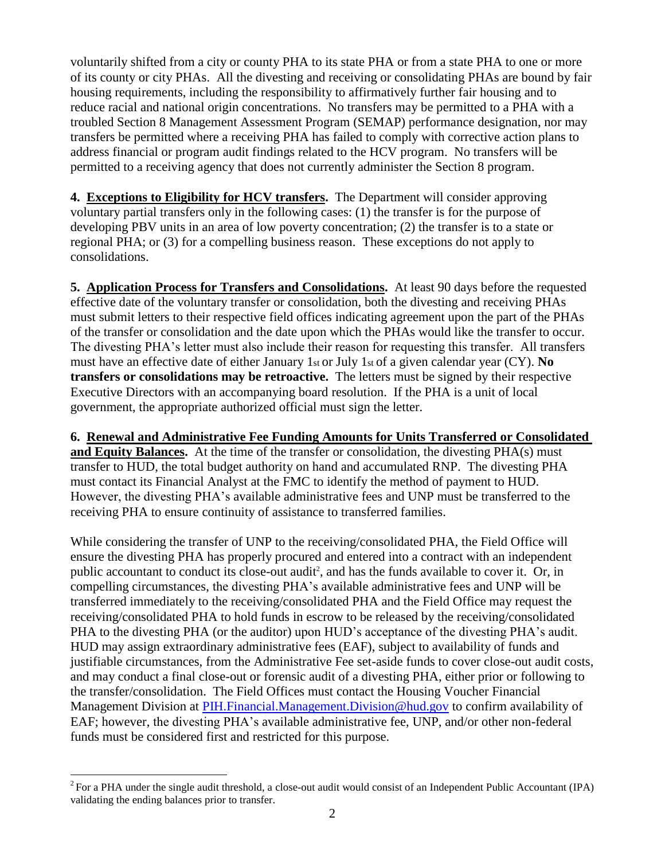voluntarily shifted from a city or county PHA to its state PHA or from a state PHA to one or more of its county or city PHAs. All the divesting and receiving or consolidating PHAs are bound by fair housing requirements, including the responsibility to affirmatively further fair housing and to reduce racial and national origin concentrations. No transfers may be permitted to a PHA with a troubled Section 8 Management Assessment Program (SEMAP) performance designation, nor may transfers be permitted where a receiving PHA has failed to comply with corrective action plans to address financial or program audit findings related to the HCV program. No transfers will be permitted to a receiving agency that does not currently administer the Section 8 program.

**4. Exceptions to Eligibility for HCV transfers.** The Department will consider approving voluntary partial transfers only in the following cases: (1) the transfer is for the purpose of developing PBV units in an area of low poverty concentration; (2) the transfer is to a state or regional PHA; or (3) for a compelling business reason. These exceptions do not apply to consolidations.

**5. Application Process for Transfers and Consolidations.** At least 90 days before the requested effective date of the voluntary transfer or consolidation, both the divesting and receiving PHAs must submit letters to their respective field offices indicating agreement upon the part of the PHAs of the transfer or consolidation and the date upon which the PHAs would like the transfer to occur. The divesting PHA's letter must also include their reason for requesting this transfer. All transfers must have an effective date of either January 1st or July 1st of a given calendar year (CY). **No transfers or consolidations may be retroactive.** The letters must be signed by their respective Executive Directors with an accompanying board resolution. If the PHA is a unit of local government, the appropriate authorized official must sign the letter.

**6. Renewal and Administrative Fee Funding Amounts for Units Transferred or Consolidated and Equity Balances.** At the time of the transfer or consolidation, the divesting PHA(s) must transfer to HUD, the total budget authority on hand and accumulated RNP. The divesting PHA must contact its Financial Analyst at the FMC to identify the method of payment to HUD. However, the divesting PHA's available administrative fees and UNP must be transferred to the receiving PHA to ensure continuity of assistance to transferred families.

While considering the transfer of UNP to the receiving/consolidated PHA, the Field Office will ensure the divesting PHA has properly procured and entered into a contract with an independent public accountant to conduct its close-out audit<sup>2</sup>, and has the funds available to cover it. Or, in compelling circumstances, the divesting PHA's available administrative fees and UNP will be transferred immediately to the receiving/consolidated PHA and the Field Office may request the receiving/consolidated PHA to hold funds in escrow to be released by the receiving/consolidated PHA to the divesting PHA (or the auditor) upon HUD's acceptance of the divesting PHA's audit. HUD may assign extraordinary administrative fees (EAF), subject to availability of funds and justifiable circumstances, from the Administrative Fee set-aside funds to cover close-out audit costs, and may conduct a final close-out or forensic audit of a divesting PHA, either prior or following to the transfer/consolidation. The Field Offices must contact the Housing Voucher Financial Management Division at [PIH.Financial.Management.Division@hud.gov](mailto:PIH.Financial.Management.Division@hud.gov) to confirm availability of EAF; however, the divesting PHA's available administrative fee, UNP, and/or other non-federal funds must be considered first and restricted for this purpose.

 $\overline{a}$ 

 $2^2$  For a PHA under the single audit threshold, a close-out audit would consist of an Independent Public Accountant (IPA) validating the ending balances prior to transfer.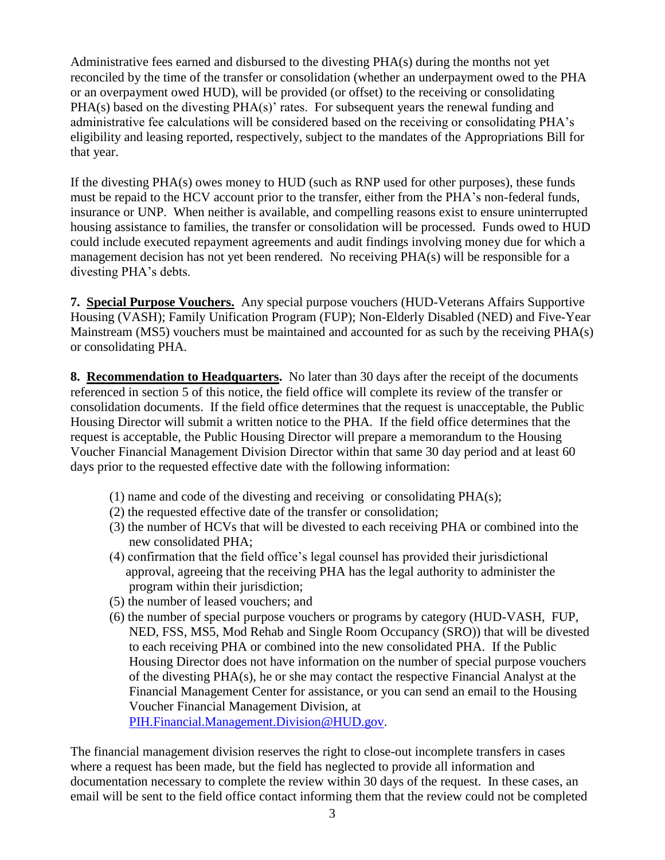Administrative fees earned and disbursed to the divesting PHA(s) during the months not yet reconciled by the time of the transfer or consolidation (whether an underpayment owed to the PHA or an overpayment owed HUD), will be provided (or offset) to the receiving or consolidating PHA(s) based on the divesting PHA(s)' rates. For subsequent years the renewal funding and administrative fee calculations will be considered based on the receiving or consolidating PHA's eligibility and leasing reported, respectively, subject to the mandates of the Appropriations Bill for that year.

If the divesting PHA(s) owes money to HUD (such as RNP used for other purposes), these funds must be repaid to the HCV account prior to the transfer, either from the PHA's non-federal funds, insurance or UNP. When neither is available, and compelling reasons exist to ensure uninterrupted housing assistance to families, the transfer or consolidation will be processed. Funds owed to HUD could include executed repayment agreements and audit findings involving money due for which a management decision has not yet been rendered. No receiving PHA(s) will be responsible for a divesting PHA's debts.

**7. Special Purpose Vouchers.** Any special purpose vouchers (HUD-Veterans Affairs Supportive Housing (VASH); Family Unification Program (FUP); Non-Elderly Disabled (NED) and Five-Year Mainstream (MS5) vouchers must be maintained and accounted for as such by the receiving PHA(s) or consolidating PHA.

**8. Recommendation to Headquarters.** No later than 30 days after the receipt of the documents referenced in section 5 of this notice, the field office will complete its review of the transfer or consolidation documents. If the field office determines that the request is unacceptable, the Public Housing Director will submit a written notice to the PHA. If the field office determines that the request is acceptable, the Public Housing Director will prepare a memorandum to the Housing Voucher Financial Management Division Director within that same 30 day period and at least 60 days prior to the requested effective date with the following information:

- (1) name and code of the divesting and receiving or consolidating PHA(s);
- (2) the requested effective date of the transfer or consolidation;
- (3) the number of HCVs that will be divested to each receiving PHA or combined into the new consolidated PHA;
- (4) confirmation that the field office's legal counsel has provided their jurisdictional approval, agreeing that the receiving PHA has the legal authority to administer the program within their jurisdiction;
- (5) the number of leased vouchers; and
- (6) the number of special purpose vouchers or programs by category (HUD-VASH, FUP, NED, FSS, MS5, Mod Rehab and Single Room Occupancy (SRO)) that will be divested to each receiving PHA or combined into the new consolidated PHA. If the Public Housing Director does not have information on the number of special purpose vouchers of the divesting PHA(s), he or she may contact the respective Financial Analyst at the Financial Management Center for assistance, or you can send an email to the Housing Voucher Financial Management Division, at [PIH.Financial.Management.Division@HUD.gov.](mailto:PIH.Financial.Management.Division@HUD.gov)

The financial management division reserves the right to close-out incomplete transfers in cases where a request has been made, but the field has neglected to provide all information and documentation necessary to complete the review within 30 days of the request. In these cases, an email will be sent to the field office contact informing them that the review could not be completed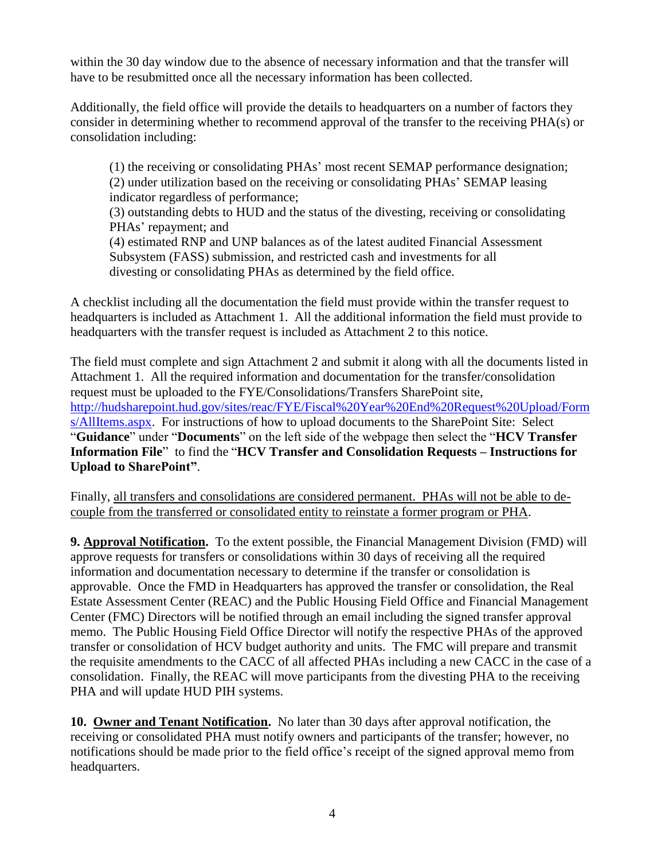within the 30 day window due to the absence of necessary information and that the transfer will have to be resubmitted once all the necessary information has been collected.

Additionally, the field office will provide the details to headquarters on a number of factors they consider in determining whether to recommend approval of the transfer to the receiving PHA(s) or consolidation including:

(1) the receiving or consolidating PHAs' most recent SEMAP performance designation; (2) under utilization based on the receiving or consolidating PHAs' SEMAP leasing indicator regardless of performance;

(3) outstanding debts to HUD and the status of the divesting, receiving or consolidating PHAs' repayment; and

(4) estimated RNP and UNP balances as of the latest audited Financial Assessment Subsystem (FASS) submission, and restricted cash and investments for all divesting or consolidating PHAs as determined by the field office.

A checklist including all the documentation the field must provide within the transfer request to headquarters is included as Attachment 1. All the additional information the field must provide to headquarters with the transfer request is included as Attachment 2 to this notice.

The field must complete and sign Attachment 2 and submit it along with all the documents listed in Attachment 1. All the required information and documentation for the transfer/consolidation request must be uploaded to the FYE/Consolidations/Transfers SharePoint site, [http://hudsharepoint.hud.gov/sites/reac/FYE/Fiscal%20Year%20End%20Request%20Upload/Form](http://hudsharepoint.hud.gov/sites/reac/FYE/Fiscal%20Year%20End%20Request%20Upload/Forms/AllItems.aspx) [s/AllItems.aspx.](http://hudsharepoint.hud.gov/sites/reac/FYE/Fiscal%20Year%20End%20Request%20Upload/Forms/AllItems.aspx) For instructions of how to upload documents to the SharePoint Site: Select "**Guidance**" under "**Documents**" on the left side of the webpage then select the "**HCV Transfer Information File**" to find the "**HCV Transfer and Consolidation Requests – Instructions for Upload to SharePoint"**.

Finally, all transfers and consolidations are considered permanent. PHAs will not be able to decouple from the transferred or consolidated entity to reinstate a former program or PHA.

**9. Approval Notification.** To the extent possible, the Financial Management Division (FMD) will approve requests for transfers or consolidations within 30 days of receiving all the required information and documentation necessary to determine if the transfer or consolidation is approvable. Once the FMD in Headquarters has approved the transfer or consolidation, the Real Estate Assessment Center (REAC) and the Public Housing Field Office and Financial Management Center (FMC) Directors will be notified through an email including the signed transfer approval memo. The Public Housing Field Office Director will notify the respective PHAs of the approved transfer or consolidation of HCV budget authority and units. The FMC will prepare and transmit the requisite amendments to the CACC of all affected PHAs including a new CACC in the case of a consolidation. Finally, the REAC will move participants from the divesting PHA to the receiving PHA and will update HUD PIH systems.

**10. Owner and Tenant Notification.** No later than 30 days after approval notification, the receiving or consolidated PHA must notify owners and participants of the transfer; however, no notifications should be made prior to the field office's receipt of the signed approval memo from headquarters.